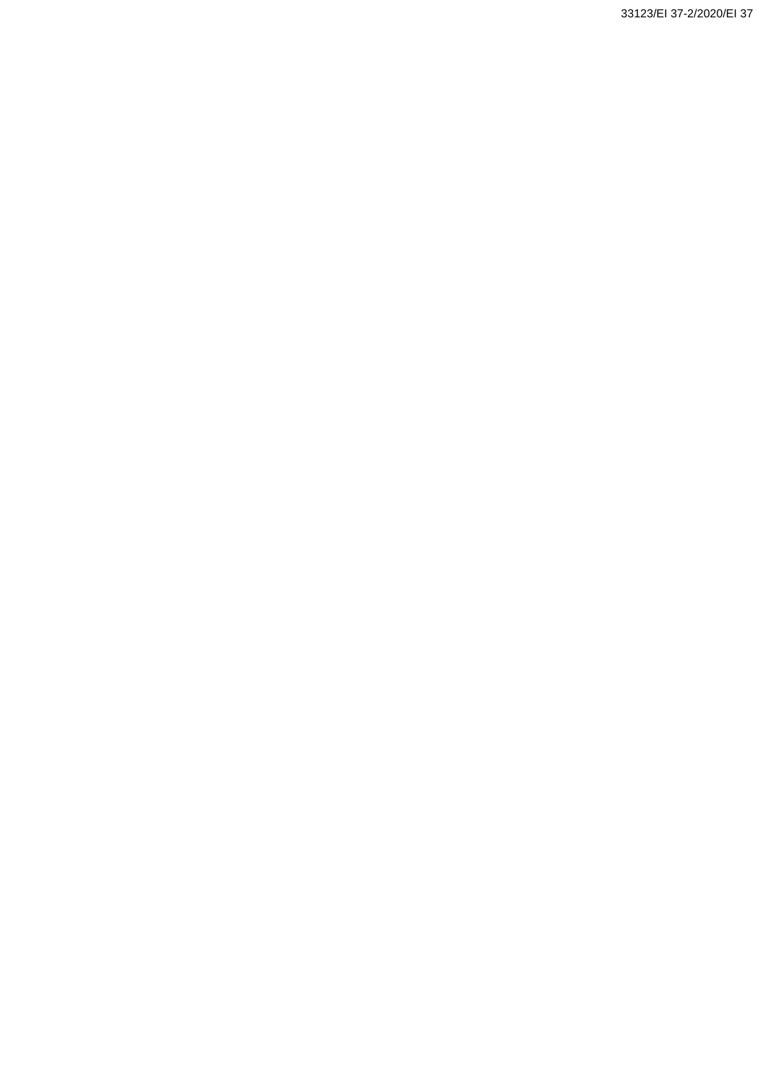33123/EI 37-2/2020/EI 37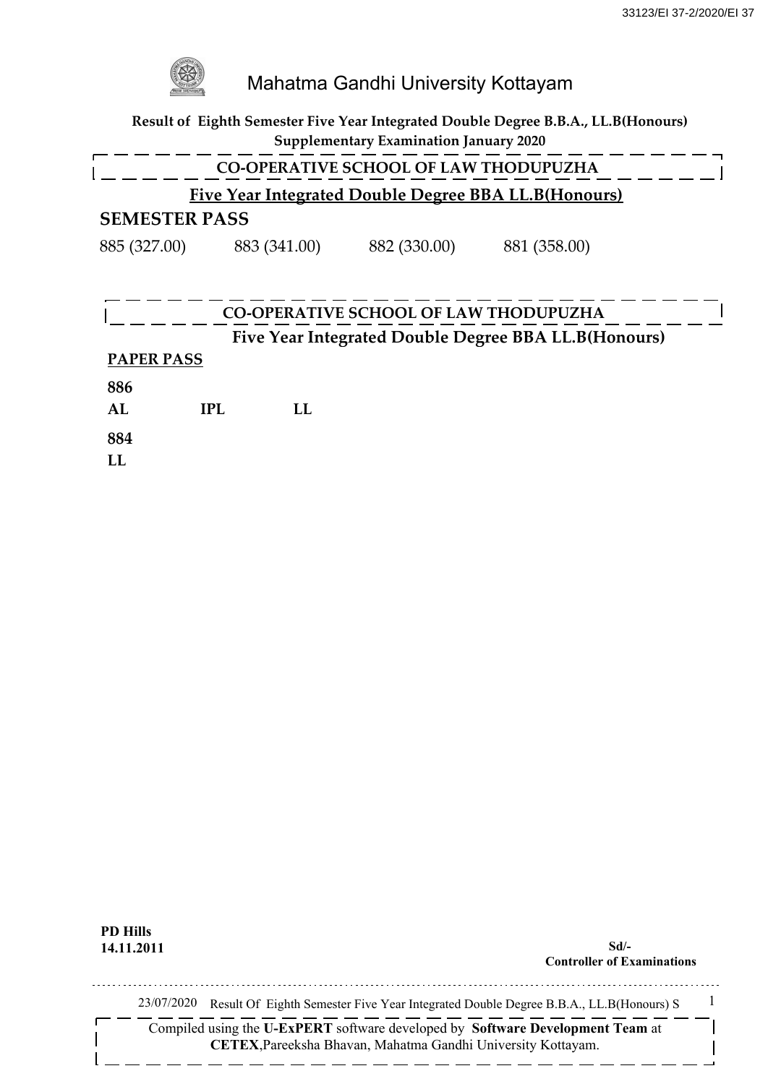

| <b>SEMESTER PASS</b> |    |              |              |                                                                                                                                                                                                                                                                                                                                                            |
|----------------------|----|--------------|--------------|------------------------------------------------------------------------------------------------------------------------------------------------------------------------------------------------------------------------------------------------------------------------------------------------------------------------------------------------------------|
|                      |    | 882 (330.00) | 881 (358.00) |                                                                                                                                                                                                                                                                                                                                                            |
|                      |    |              |              |                                                                                                                                                                                                                                                                                                                                                            |
|                      |    |              |              |                                                                                                                                                                                                                                                                                                                                                            |
|                      |    |              |              |                                                                                                                                                                                                                                                                                                                                                            |
| <b>PAPER PASS</b>    |    |              |              |                                                                                                                                                                                                                                                                                                                                                            |
|                      |    |              |              |                                                                                                                                                                                                                                                                                                                                                            |
| <b>IPL</b>           | LL |              |              |                                                                                                                                                                                                                                                                                                                                                            |
|                      |    |              |              |                                                                                                                                                                                                                                                                                                                                                            |
|                      |    |              |              |                                                                                                                                                                                                                                                                                                                                                            |
|                      |    | 883 (341.00) |              | Result of Eighth Semester Five Year Integrated Double Degree B.B.A., LL.B(Honours)<br><b>Supplementary Examination January 2020</b><br><b>CO-OPERATIVE SCHOOL OF LAW THODUPUZHA</b><br><b>Five Year Integrated Double Degree BBA LL.B(Honours)</b><br><b>CO-OPERATIVE SCHOOL OF LAW THODUPUZHA</b><br>Five Year Integrated Double Degree BBA LL.B(Honours) |

| <b>PD Hills</b> |  |            |  |
|-----------------|--|------------|--|
|                 |  | 14.11.2011 |  |

 $-$ 

l

**14.11.2011 Sd/- Controller of Examinations**

> $\overline{\phantom{a}}$  $\mathsf{l}$

23/07/2020 Result Of Eighth Semester Five Year Integrated Double Degree B.B.A., LL.B(Honours) S <sup>1</sup>

Compiled using the **U-ExPERT** software developed by **Software Development Team** at **CETEX**,Pareeksha Bhavan, Mahatma Gandhi University Kottayam.

 $-$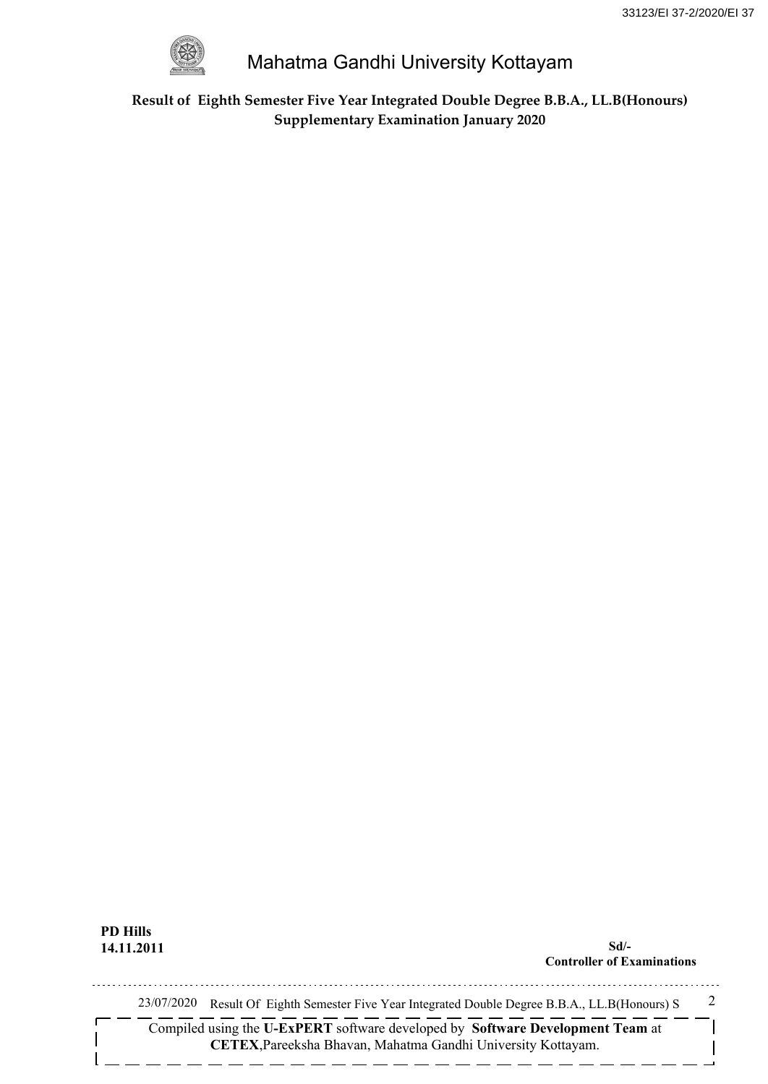

**Result of Eighth Semester Five Year Integrated Double Degree B.B.A., LL.B(Honours) Supplementary Examination January 2020**

**PD Hills**

- -- -- -- -- -

- - -

l

#### **14.11.2011 Sd/- Controller of Examinations**

 $\mathbf{I}$  $\mathsf{l}$ 

ب

 $\overline{\phantom{a}}$ 

23/07/2020 Result Of Eighth Semester Five Year Integrated Double Degree B.B.A., LL.B(Honours) S <sup>2</sup>

Compiled using the **U-ExPERT** software developed by **Software Development Team** at **CETEX**,Pareeksha Bhavan, Mahatma Gandhi University Kottayam.

- -- -- -- -- -- -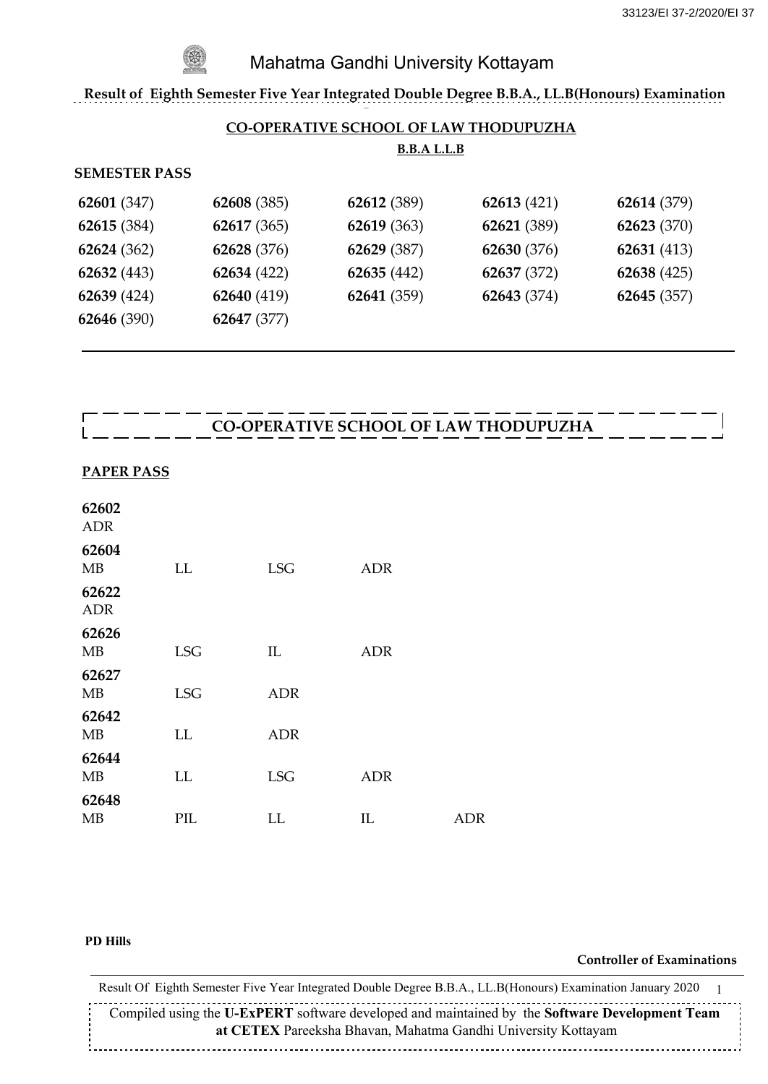

**Result of Eighth Semester Five Year Integrated Double Degree B.B.A., LL.B(Honours) Examination** 

| <b>CO-OPERATIVE SCHOOL OF LAW THODUPUZHA</b> |             |                    |             |             |  |
|----------------------------------------------|-------------|--------------------|-------------|-------------|--|
|                                              |             | <b>B.B.A L.L.B</b> |             |             |  |
| <b>SEMESTER PASS</b>                         |             |                    |             |             |  |
| 62601 (347)                                  | 62608 (385) | 62612 (389)        | 62613(421)  | 62614 (379) |  |
| 62615 (384)                                  | 62617 (365) | 62619 (363)        | 62621 (389) | 62623 (370) |  |
| 62624 (362)                                  | 62628 (376) | 62629 (387)        | 62630 (376) | 62631 (413) |  |
| 62632 (443)                                  | 62634 (422) | 62635 (442)        | 62637 (372) | 62638 (425) |  |
| 62639 (424)                                  | 62640 (419) | 62641 (359)        | 62643 (374) | 62645 (357) |  |
| 62646 (390)                                  | 62647 (377) |                    |             |             |  |
|                                              |             |                    |             |             |  |

**CO-OPERATIVE SCHOOL OF LAW THODUPUZHA**

#### **PAPER PASS**

| 62602<br><b>ADR</b> |            |            |            |     |
|---------------------|------------|------------|------------|-----|
| 62604<br>MB         | LL         | <b>LSG</b> | <b>ADR</b> |     |
| 62622<br><b>ADR</b> |            |            |            |     |
| 62626<br>MB         | <b>LSG</b> | IL         | <b>ADR</b> |     |
| 62627<br>MB         | <b>LSG</b> | <b>ADR</b> |            |     |
| 62642<br>MB         | LL         | <b>ADR</b> |            |     |
| 62644<br>MB         | LL         | <b>LSG</b> | <b>ADR</b> |     |
| 62648<br>MB         | PIL        | LL         | IL         | ADR |

### **PD Hills**

**Controller of Examinations**

Result Of Eighth Semester Five Year Integrated Double Degree B.B.A., LL.B(Honours) Examination January 2020 1 Compiled using the **U-ExPERT** software developed and maintained by the **Software Development Team at CETEX** Pareeksha Bhavan, Mahatma Gandhi University Kottayam ------------------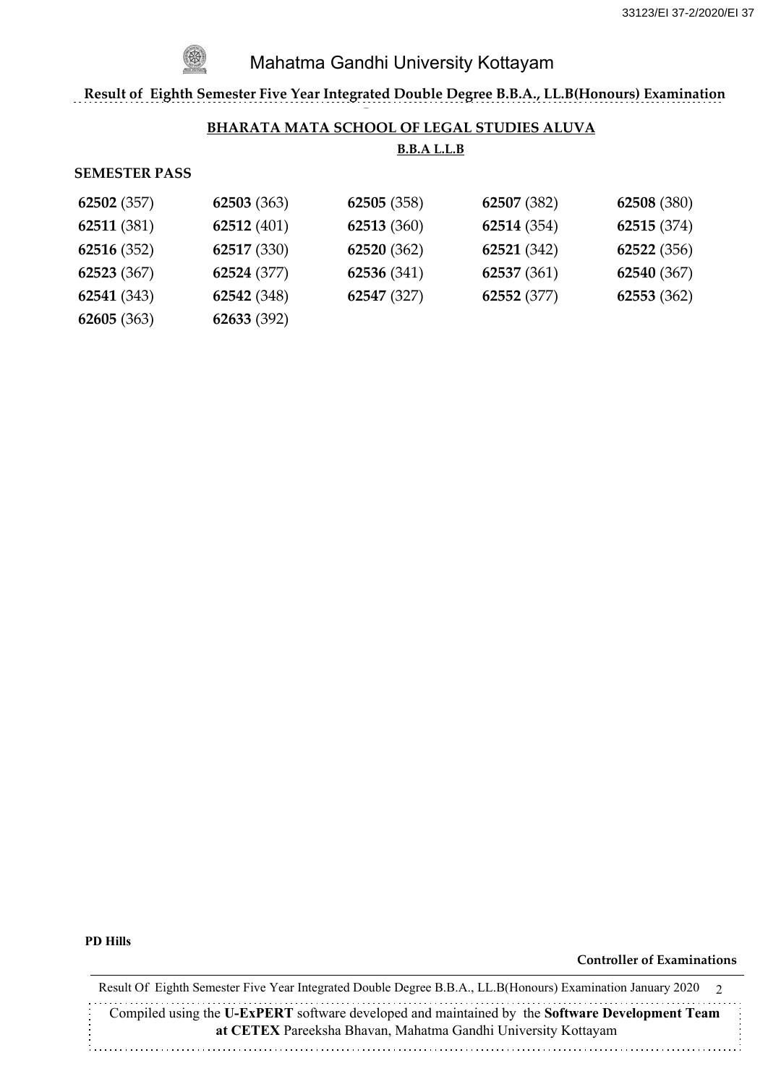

**Result of Eighth Semester Five Year Integrated Double Degree B.B.A., LL.B(Honours) Examination** 

### **BHARATA MATA SCHOOL OF LEGAL STUDIES ALUVA**

# **B.B.A L.L.B**

### **SEMESTER PASS**

| 62502(357)  | 62503 (363)   | 62505 (358) | 62507 (382) | 62508 (380) |
|-------------|---------------|-------------|-------------|-------------|
| 62511 (381) | 62512 $(401)$ | 62513 (360) | 62514 (354) | 62515 (374) |
| 62516 (352) | 62517 (330)   | 62520 (362) | 62521 (342) | 62522 (356) |
| 62523 (367) | 62524 (377)   | 62536 (341) | 62537(361)  | 62540 (367) |
| 62541 (343) | 62542 (348)   | 62547 (327) | 62552 (377) | 62553 (362) |
| 62605(363)  | 62633 (392)   |             |             |             |

**PD Hills**

**Controller of Examinations**

Result Of Eighth Semester Five Year Integrated Double Degree B.B.A., LL.B(Honours) Examination January 2020 2 Compiled using the **U-ExPERT** software developed and maintained by the **Software Development Team at CETEX** Pareeksha Bhavan, Mahatma Gandhi University Kottayam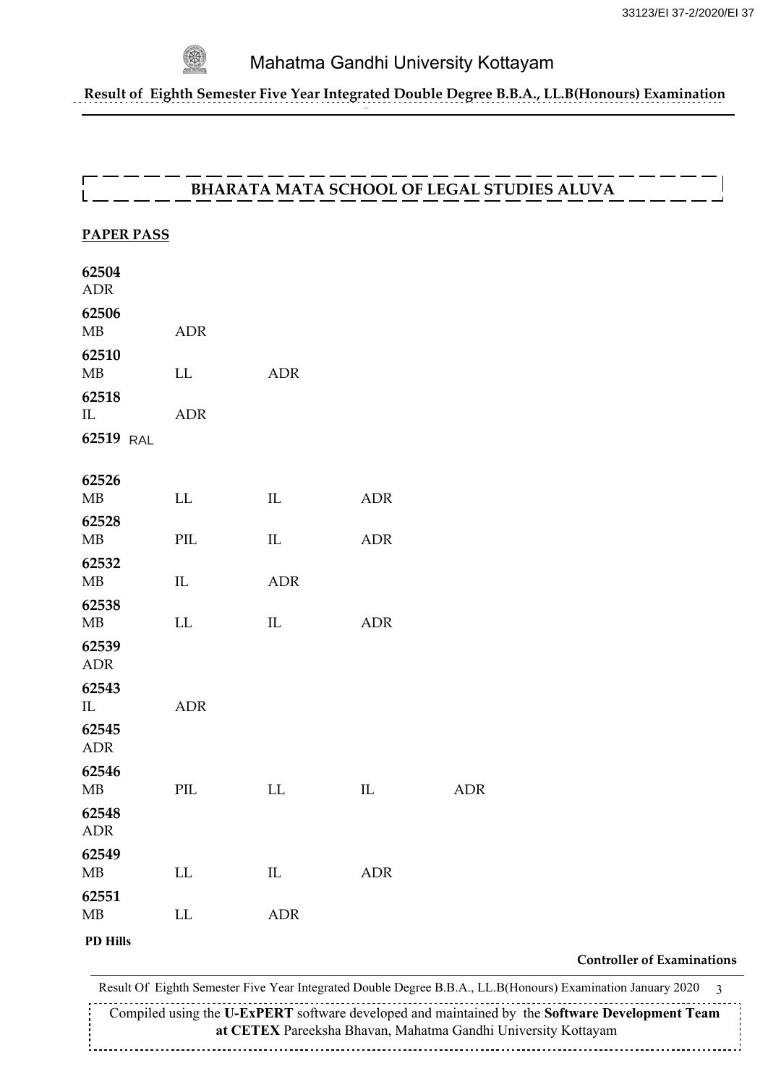

**Result of Eighth Semester Five Year Integrated Double Degree B.B.A., LL.B(Honours) Examination January 2020**

|                                                              |                    |                            |              | BHARATA MATA SCHOOL OF LEGAL STUDIES ALUVA |                                   |
|--------------------------------------------------------------|--------------------|----------------------------|--------------|--------------------------------------------|-----------------------------------|
| <b>PAPER PASS</b>                                            |                    |                            |              |                                            |                                   |
| 62504<br>ADR                                                 |                    |                            |              |                                            |                                   |
| 62506<br>MB                                                  | ADR                |                            |              |                                            |                                   |
| 62510<br>MB                                                  | LL                 | <b>ADR</b>                 |              |                                            |                                   |
| 62518<br>$\mathop{\rm IL}\nolimits$                          | ADR                |                            |              |                                            |                                   |
| 62519 RAL                                                    |                    |                            |              |                                            |                                   |
| 62526<br>MB                                                  | LL                 | $\rm IL$                   | ADR          |                                            |                                   |
| 62528<br>MB<br>62532                                         | PIL                | $\rm IL$                   | $\mbox{ADR}$ |                                            |                                   |
| MB                                                           | IL                 | ADR                        |              |                                            |                                   |
| 62538<br>MB<br>62539<br>ADR                                  | LL                 | $\rm IL$                   | ADR          |                                            |                                   |
| 62543<br>$\mathop{\rm IL}\nolimits$<br>62545<br>$\mbox{ADR}$ | ADR                |                            |              |                                            |                                   |
| 62546<br>MB<br>62548                                         | $\mathop{\rm PIL}$ | $\mathop{\rm LL}\nolimits$ | $\rm IL$     | ADR                                        |                                   |
| ADR<br>62549<br>${\rm MB}$                                   | ${\rm LL}$         | $\rm IL$                   | $\mbox{ADR}$ |                                            |                                   |
| 62551<br>${\rm MB}$                                          | LL                 | ADR                        |              |                                            |                                   |
| PD Hills                                                     |                    |                            |              |                                            | <b>Controller of Examinations</b> |

Result Of Eighth Semester Five Year Integrated Double Degree B.B.A., LL.B(Honours) Examination January 2020 3 Compiled using the **U-ExPERT** software developed and maintained by the **Software Development Team at CETEX** Pareeksha Bhavan, Mahatma Gandhi University Kottayam ........... -----------------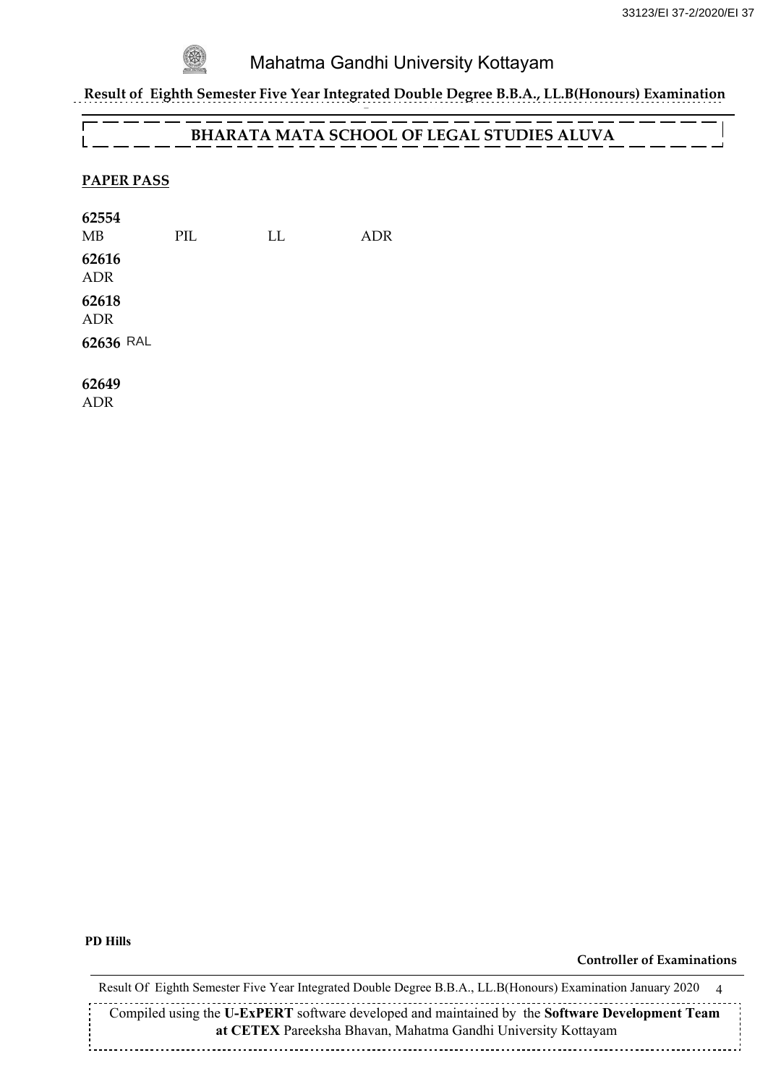

**Result of Eighth Semester Five Year Integrated Double Degree B.B.A., LL.B(Honours) Examination January 2020**

## **BHARATA MATA SCHOOL OF LEGAL STUDIES ALUVA**

#### **PAPER PASS**

| 62554<br>MВ  | PIL | LL | <b>ADR</b> |
|--------------|-----|----|------------|
| 62616<br>ADR |     |    |            |
| 62618<br>ADR |     |    |            |
| 62636 RAL    |     |    |            |
| 62649        |     |    |            |

ADR

**PD Hills**

**Controller of Examinations**

Result Of Eighth Semester Five Year Integrated Double Degree B.B.A., LL.B(Honours) Examination January 2020 4 Compiled using the **U-ExPERT** software developed and maintained by the **Software Development Team at CETEX** Pareeksha Bhavan, Mahatma Gandhi University Kottayam ...............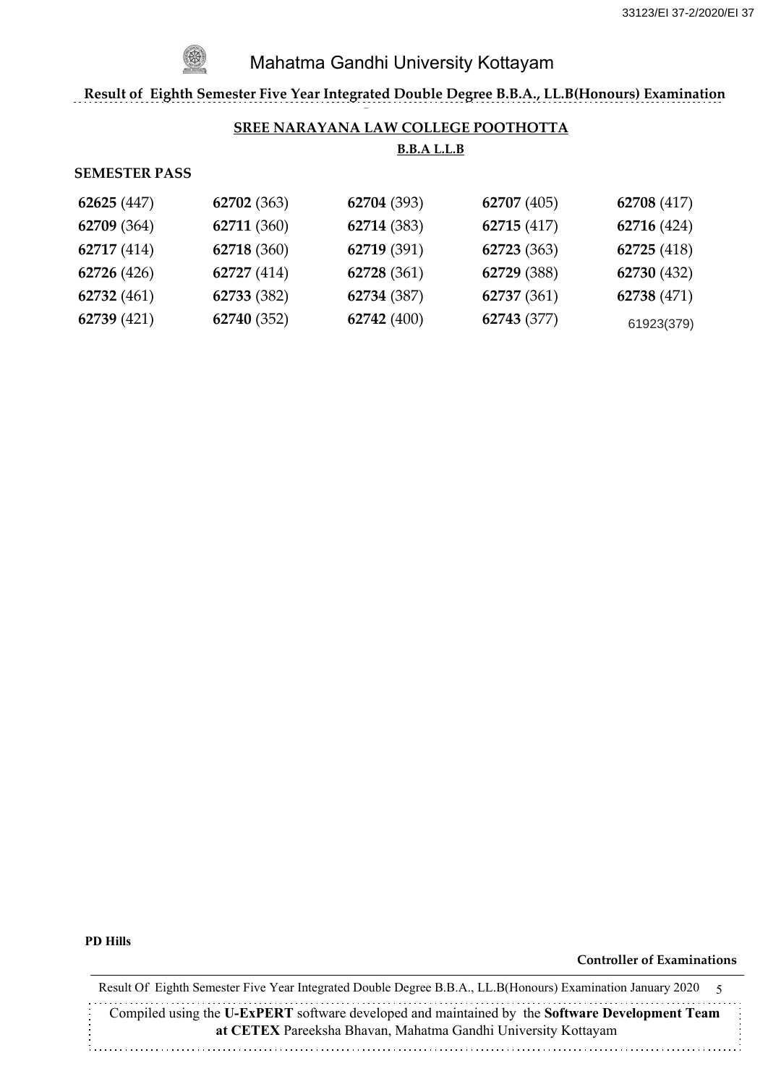

**Result of Eighth Semester Five Year Integrated Double Degree B.B.A., LL.B(Honours) Examination** 

| <b>SREE NARAYANA LAW COLLEGE POOTHOTTA</b> |                    |             |             |             |  |  |
|--------------------------------------------|--------------------|-------------|-------------|-------------|--|--|
|                                            | <b>B.B.A L.L.B</b> |             |             |             |  |  |
| <b>SEMESTER PASS</b>                       |                    |             |             |             |  |  |
| 62625 (447)                                | 62702(363)         | 62704 (393) | 62707 (405) | 62708 (417) |  |  |
| 62709 (364)                                | <b>62711</b> (360) | 62714 (383) | 62715 (417) | 62716 (424) |  |  |

| 62725 (418) | <b>62723</b> (363) | 62719 (391)        | <b>62718</b> (360) | 62717 (414)        |
|-------------|--------------------|--------------------|--------------------|--------------------|
| 62730 (432) | 62729 (388)        | <b>62728</b> (361) | 62727 (414)        | <b>62726</b> (426) |
| 62738 (471) | 62737 (361)        | 62734 (387)        | 62733 (382)        | 62732(461)         |
| 61923(379)  | 62743 (377)        | 62742(400)         | 62740 (352)        | 62739 (421)        |

**PD Hills**

**Controller of Examinations**

Result Of Eighth Semester Five Year Integrated Double Degree B.B.A., LL.B(Honours) Examination January 2020 5 Compiled using the **U-ExPERT** software developed and maintained by the **Software Development Team at CETEX** Pareeksha Bhavan, Mahatma Gandhi University Kottayam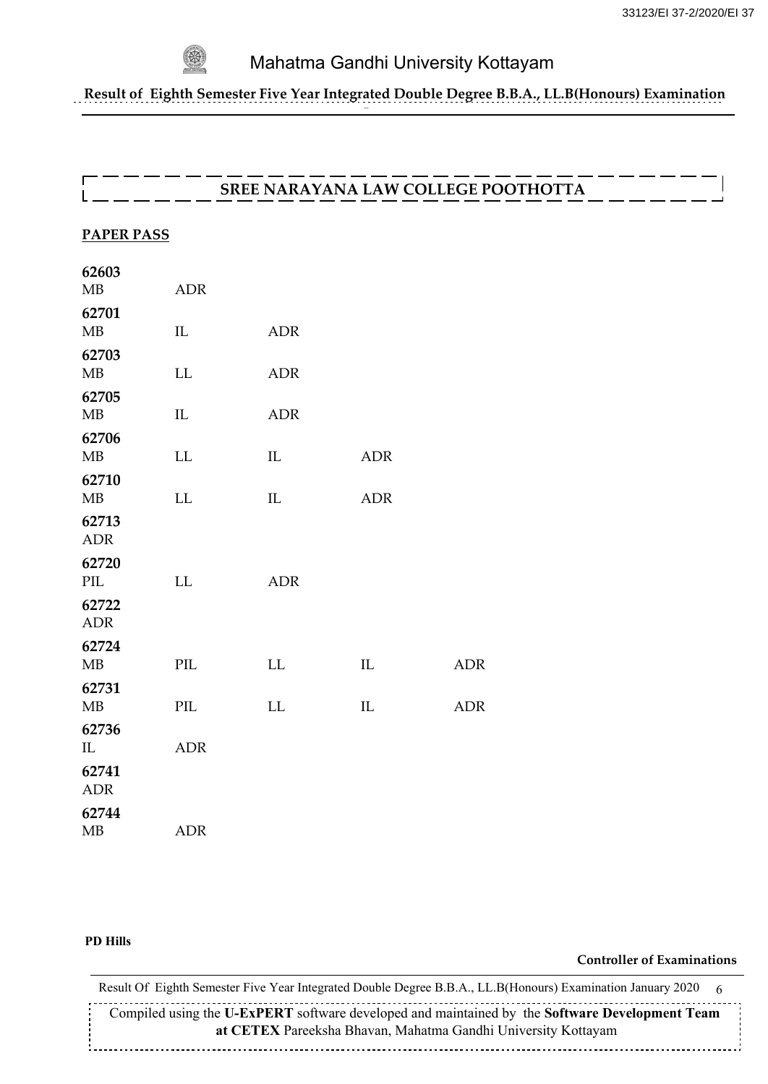

**Result of Eighth Semester Five Year Integrated Double Degree B.B.A., LL.B(Honours) Examination January 2020**

# **SREE NARAYANA LAW COLLEGE POOTHOTTA**

#### **PAPER PASS**

| 62603<br>MB                 | <b>ADR</b>                 |                            |            |            |
|-----------------------------|----------------------------|----------------------------|------------|------------|
| 62701<br>MB                 | $\rm IL$                   | <b>ADR</b>                 |            |            |
| 62703<br>MB                 | $\mathop{\rm LL}\nolimits$ | <b>ADR</b>                 |            |            |
| 62705<br>MB                 | $\rm IL$                   | <b>ADR</b>                 |            |            |
| 62706<br>MB                 | $\mathop{\rm LL}\nolimits$ | IL                         | <b>ADR</b> |            |
| 62710<br>MB                 | $\mathop{\rm LL}\nolimits$ | $\rm IL$                   | <b>ADR</b> |            |
| 62713<br><b>ADR</b>         |                            |                            |            |            |
| 62720<br>$\mathop{\rm PIL}$ | $\mathop{\rm LL}\nolimits$ | <b>ADR</b>                 |            |            |
| 62722<br><b>ADR</b>         |                            |                            |            |            |
| 62724<br>MB                 | PIL                        | $\mathop{\rm LL}\nolimits$ | $\rm IL$   | <b>ADR</b> |
| 62731<br>MB                 | $\mathop{\rm PIL}$         | $\mathop{\rm LL}\nolimits$ | IL         | <b>ADR</b> |
| 62736<br>IL                 | <b>ADR</b>                 |                            |            |            |
| 62741<br><b>ADR</b>         |                            |                            |            |            |
| 62744<br>MB                 | <b>ADR</b>                 |                            |            |            |

#### **PD Hills**

**Controller of Examinations**

Result Of Eighth Semester Five Year Integrated Double Degree B.B.A., LL.B(Honours) Examination January 2020 6 Compiled using the **U-ExPERT** software developed and maintained by the **Software Development Team at CETEX** Pareeksha Bhavan, Mahatma Gandhi University Kottayam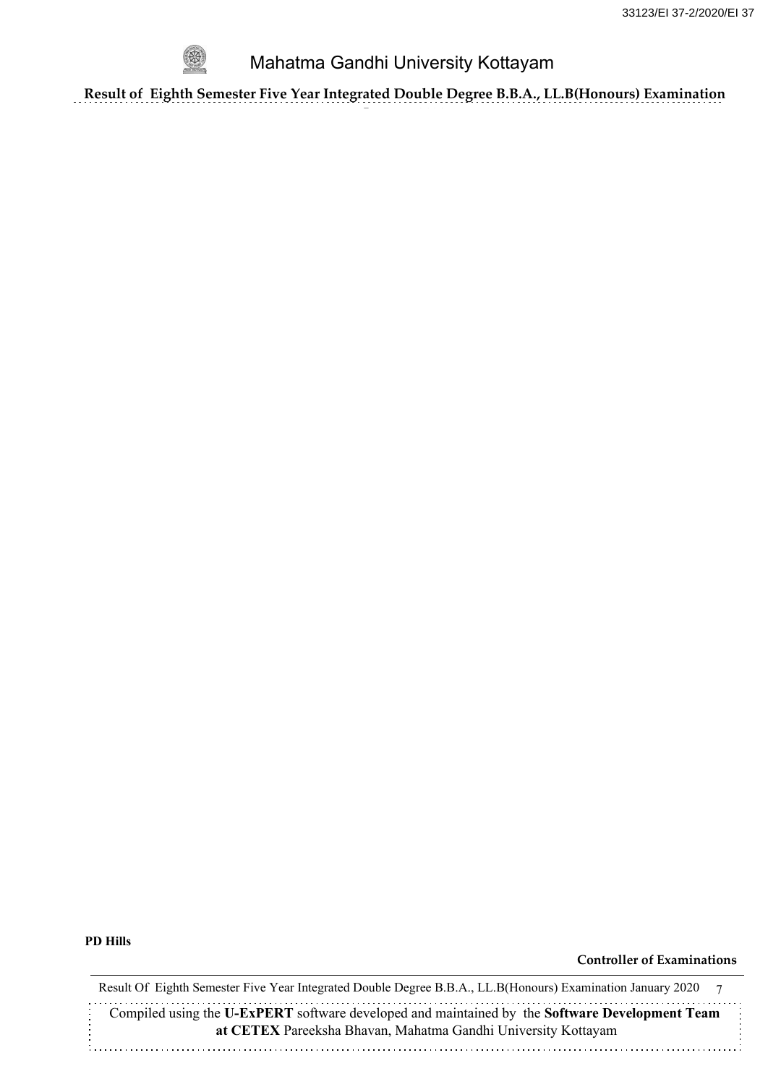

**Result of Eighth Semester Five Year Integrated Double Degree B.B.A., LL.B(Honours) Examination** 

**PD Hills**

**Controller of Examinations**

Result Of Eighth Semester Five Year Integrated Double Degree B.B.A., LL.B(Honours) Examination January 2020 7 Compiled using the **U-ExPERT** software developed and maintained by the **Software Development Team at CETEX** Pareeksha Bhavan, Mahatma Gandhi University Kottayam